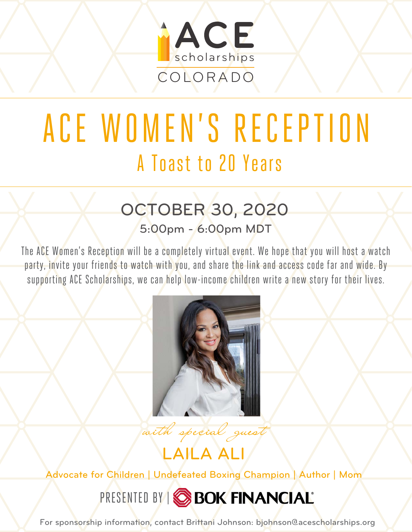

# ACE [WOMEN'S](https://www.acescholarships.org/2020-cowomens-guest/) RECEPTION A Toast to 20 Years

## OCTOBER 30, 2020

5:00pm - 6:00pm MDT

The ACE Women's Reception will be a completely virtual event. We hope that you will host a watch party, invite your friends to watch with you, and share the link and access code far and wide. By supporting ACE Scholarships, we can help low-income children write a new story for their lives.



with special guest

LAILA ALI

Advocate for Children | Undefeated Boxing Champion | Author | Mom

PRESENTED BY | SBOK FINANCIAL

For sponsorship information, contact Brittani Johnson: bjohnson@acescholarships.org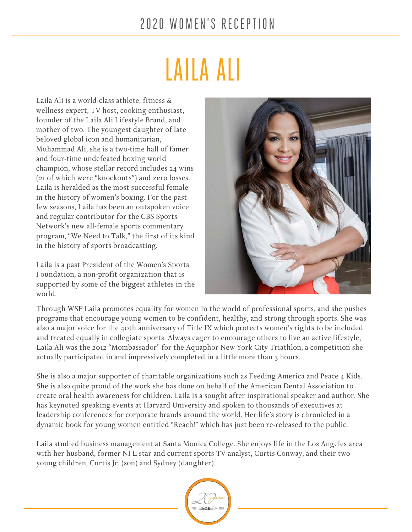#### 2 02 0 WOMEN'S RECEPTION

# LAILA ALI

Laila Ali is a world-class athlete, fitness & wellness expert, TV host, cooking enthusiast, founder of the Laila Ali Lifestyle Brand, and mother of two. The youngest daughter of late beloved global icon and humanitarian, Muhammad Ali, she is a two-time hall of famer and four-time undefeated boxing world champion, whose stellar record includes 24 wins (21 of which were "knockouts") and zero losses. Laila is heralded as the most successful female in the history of women's boxing. For the past few seasons, Laila has been an outspoken voice and regular contributor for the CBS Sports Network's new all-female sports commentary program, "We Need to Talk," the first of its kind in the history of sports broadcasting.

Laila is a past President of the Women's Sports Foundation, a non-profit organization that is supported by some of the biggest athletes in the world.



Through WSF Laila promotes equality for women in the world of professional sports, and she pushes programs that encourage young women to be confident, healthy, and strong through sports. She was also a major voice for the 40th anniversary of Title IX which protects women's rights to be included and treated equally in collegiate sports. Always eager to encourage others to live an active lifestyle, Laila Ali was the 2012 "Mombassador" for the Aquaphor New York City Triathlon, a competition she actually participated in and impressively completed in a little more than 3 hours.

She is also a major supporter of charitable organizations such as Feeding America and Peace 4 Kids. She is also quite proud of the work she has done on behalf of the American Dental Association to create oral health awareness for children. Laila is a sought after inspirational speaker and author. She has keynoted speaking events at Harvard University and spoken to thousands of executives at leadership conferences for corporate brands around the world. Her life's story is chronicled in a dynamic book for young women entitled "Reach!" which has just been re-released to the public.

Laila studied business management at Santa Monica College. She enjoys life in the Los Angeles area with her husband, former NFL star and current sports TV analyst, Curtis Conway, and their two young children, Curtis Jr. (son) and Sydney (daughter).

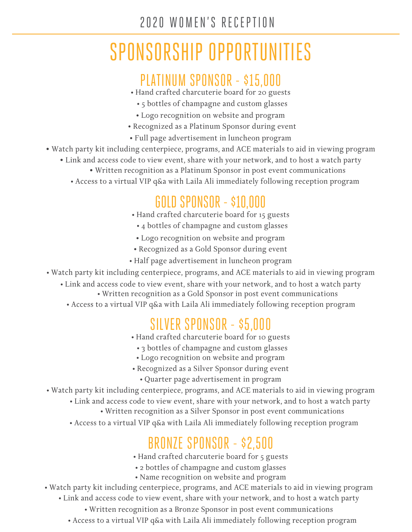#### 2020 WOMEN'S RECEPTION

# [SPONSORSHIP OPPORTUNITIES](https://www.acescholarships.org/2020wl/)

#### PLATINUM SPONSOR - \$15,000

- Hand crafted charcuterie board for 20 guests
	- 5 bottles of champagne and custom glasses
	- Logo recognition on website and program
- Recognized as a Platinum Sponsor during event
- Full page advertisement in luncheon program
- Watch party kit including centerpiece, programs, and ACE materials to aid in viewing program
	- Link and access code to view event, share with your network, and to host a watch party
		- Written recognition as a Platinum Sponsor in post event communications
		- Access to a virtual VIP q&a with Laila Ali immediately following reception program

#### GOLD SPONSOR - \$10,000

- Hand crafted charcuterie board for 15 guests
	- 4 bottles of champagne and custom glasses
- Logo recognition on website and program
- Recognized as a Gold Sponsor during event
- Half page advertisement in luncheon program
- Watch party kit including centerpiece, programs, and ACE materials to aid in viewing program
	- Link and access code to view event, share with your network, and to host a watch party
		- Written recognition as a Gold Sponsor in post event communications
		- Access to a virtual VIP q&a with Laila Ali immediately following reception program

#### SILVER SPONSOR - \$5,000

- Hand crafted charcuterie board for 10 guests
	- 3 bottles of champagne and custom glasses
	- Logo recognition on website and program
- Recognized as a Silver Sponsor during event
	- Quarter page advertisement in program
- Watch party kit including centerpiece, programs, and ACE materials to aid in viewing program
	- Link and access code to view event, share with your network, and to host a watch party
		- Written recognition as a Silver Sponsor in post event communications
	- Access to a virtual VIP q&a with Laila Ali immediately following reception program

## BRONZE SPONSOR - \$2,500

- Hand crafted charcuterie board for 5 guests
- 2 bottles of champagne and custom glasses
- Name recognition on website and program
- Watch party kit including centerpiece, programs, and ACE materials to aid in viewing program • Link and access code to view event, share with your network, and to host a watch party
	- Written recognition as a Bronze Sponsor in post event communications
	- Access to a virtual VIP q&a with Laila Ali immediately following reception program